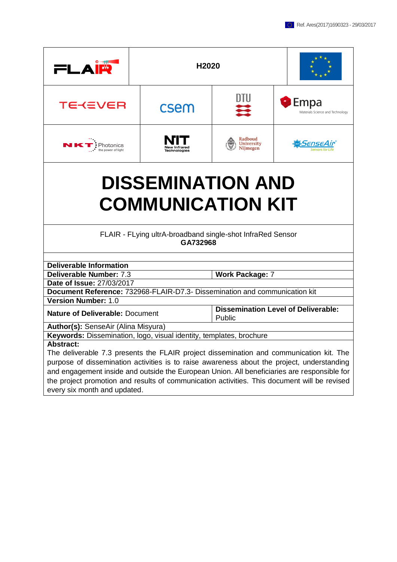| FI A                                                                                         | H2020                                                |                                                      |  |                                                   |
|----------------------------------------------------------------------------------------------|------------------------------------------------------|------------------------------------------------------|--|---------------------------------------------------|
| TE≺∈VER                                                                                      | csem                                                 | DTU<br>⋿                                             |  | <b>C</b> Empa<br>Materials Science and Technology |
| $\mathbf{\cdot}$ Photonics<br>the power of light                                             | New Infrared<br><b>Fechnologies</b>                  | Radboud<br>University<br>Nijmegen                    |  | SenseAır                                          |
|                                                                                              | <b>DISSEMINATION AND</b><br><b>COMMUNICATION KIT</b> |                                                      |  |                                                   |
| FLAIR - FLying ultrA-broadband single-shot InfraRed Sensor<br>GA732968                       |                                                      |                                                      |  |                                                   |
| <b>Deliverable Information</b>                                                               |                                                      |                                                      |  |                                                   |
| Deliverable Number: 7.3                                                                      |                                                      | <b>Work Package: 7</b>                               |  |                                                   |
| Date of Issue: 27/03/2017                                                                    |                                                      |                                                      |  |                                                   |
| Document Reference: 732968-FLAIR-D7.3- Dissemination and communication kit                   |                                                      |                                                      |  |                                                   |
| <b>Version Number: 1.0</b>                                                                   |                                                      |                                                      |  |                                                   |
| <b>Nature of Deliverable: Document</b>                                                       |                                                      | <b>Dissemination Level of Deliverable:</b><br>Public |  |                                                   |
| Author(s): SenseAir (Alina Misyura)                                                          |                                                      |                                                      |  |                                                   |
| Keywords: Dissemination, logo, visual identity, templates, brochure                          |                                                      |                                                      |  |                                                   |
| <b>Abstract:</b>                                                                             |                                                      |                                                      |  |                                                   |
| The deliverable 7.3 presents the FLAIR project dissemination and communication kit. The      |                                                      |                                                      |  |                                                   |
| purpose of dissemination activities is to raise awareness about the project, understanding   |                                                      |                                                      |  |                                                   |
| and engagement inside and outside the European Union. All beneficiaries are responsible for  |                                                      |                                                      |  |                                                   |
| the project promotion and results of communication activities. This document will be revised |                                                      |                                                      |  |                                                   |

every six month and updated.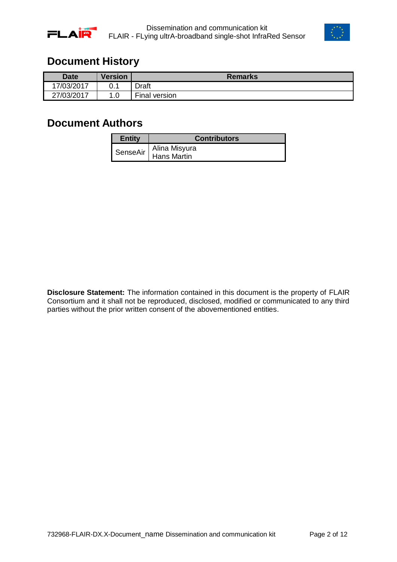



### <span id="page-1-0"></span>**Document History**

| <b>Date</b> | <b>Version</b> | <b>Remarks</b>             |
|-------------|----------------|----------------------------|
| 7/03/2017   | 0.1            | Draft                      |
| 27/03/2017  | 0.،<br>A       | --<br><b>Final version</b> |

### <span id="page-1-1"></span>**Document Authors**

| Entity   | <b>Contributors</b>          |
|----------|------------------------------|
| SenseAir | Alina Misyura<br>Hans Martin |

**Disclosure Statement:** The information contained in this document is the property of FLAIR Consortium and it shall not be reproduced, disclosed, modified or communicated to any third parties without the prior written consent of the abovementioned entities.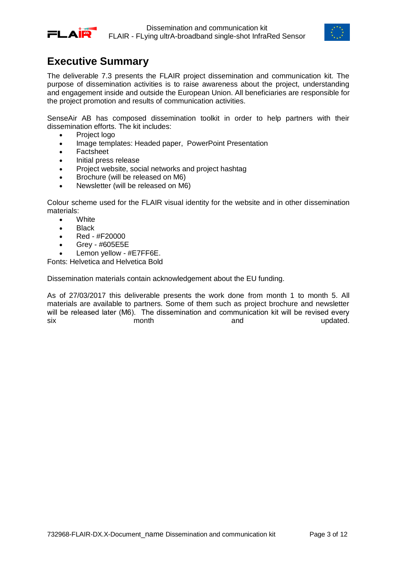



## <span id="page-2-0"></span>**Executive Summary**

The deliverable 7.3 presents the FLAIR project dissemination and communication kit. The purpose of dissemination activities is to raise awareness about the project, understanding and engagement inside and outside the European Union. All beneficiaries are responsible for the project promotion and results of communication activities.

SenseAir AB has composed dissemination toolkit in order to help partners with their dissemination efforts. The kit includes:

- Project logo
- Image templates: Headed paper, PowerPoint Presentation
- Factsheet
- Initial press release
- Project website, social networks and project hashtag
- Brochure (will be released on M6)
- Newsletter (will be released on M6)

Colour scheme used for the FLAIR visual identity for the website and in other dissemination materials:

- **White**
- **Black**
- Red #F20000
- Grey #605E5E
- Lemon yellow #E7FF6E.

Fonts: Helvetica and Helvetica Bold

Dissemination materials contain acknowledgement about the EU funding.

As of 27/03/2017 this deliverable presents the work done from month 1 to month 5. All materials are available to partners. Some of them such as project brochure and newsletter will be released later (M6). The dissemination and communication kit will be revised every six and updated.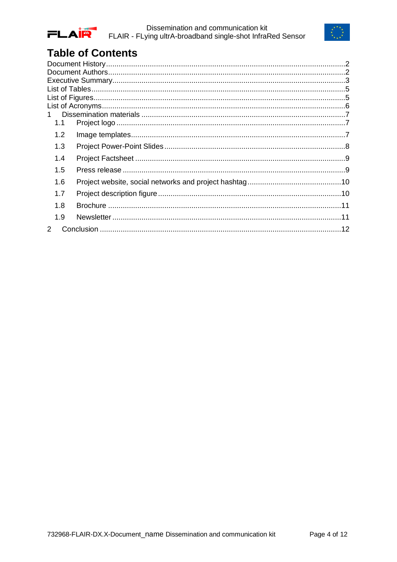



# **Table of Contents**

| 1.1 |  |
|-----|--|
| 1.2 |  |
| 1.3 |  |
| 1.4 |  |
| 1.5 |  |
| 1.6 |  |
| 1.7 |  |
| 1.8 |  |
| 1.9 |  |
| 2   |  |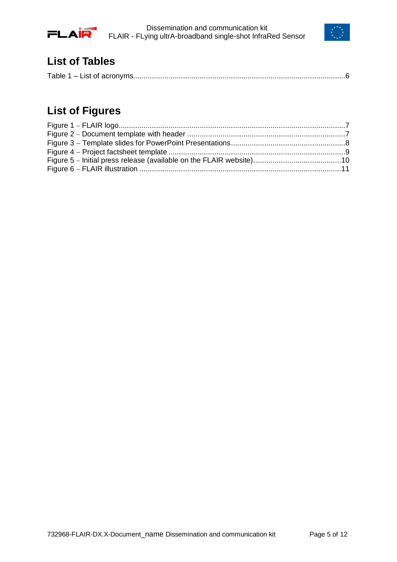



## <span id="page-4-0"></span>**List of Tables**

|--|

# <span id="page-4-1"></span>**List of Figures**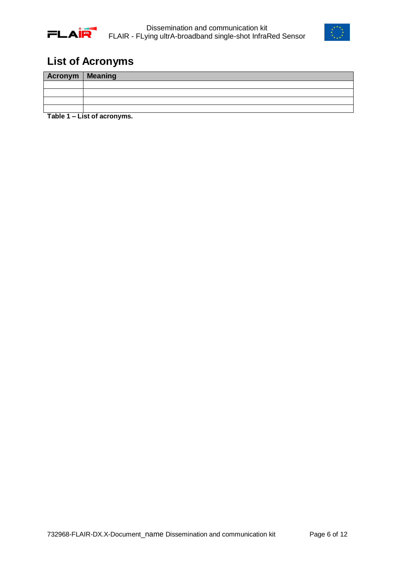



## <span id="page-5-0"></span>**List of Acronyms**

| Acronym   Meaning |                              |
|-------------------|------------------------------|
|                   |                              |
|                   |                              |
|                   |                              |
|                   |                              |
|                   | Table 4 I lat of concurrence |

<span id="page-5-1"></span>**Table 1 – List of acronyms.**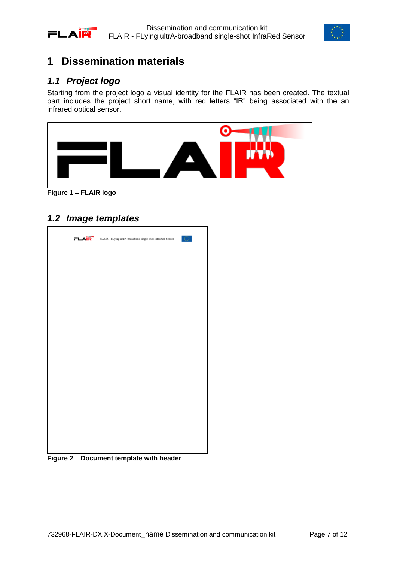



## <span id="page-6-0"></span>**1 Dissemination materials**

### <span id="page-6-1"></span>*1.1 Project logo*

Starting from the project logo a visual identity for the FLAIR has been created. The textual part includes the project short name, with red letters "IR" being associated with the an infrared optical sensor.



**Figure 1 FLAIR logo**

#### <span id="page-6-3"></span><span id="page-6-2"></span>*1.2 Image templates*

<span id="page-6-4"></span>

**Figure 2 Document template with header**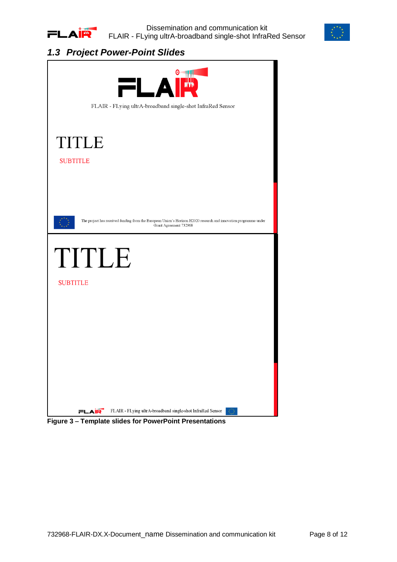



### <span id="page-7-0"></span>*1.3 Project Power-Point Slides*

<span id="page-7-1"></span>

**Figure 3 Template slides for PowerPoint Presentations**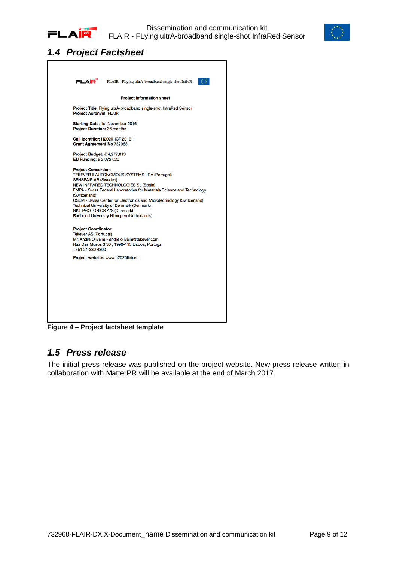



#### <span id="page-8-0"></span>*1.4 Project Factsheet*



**Figure 4 Project factsheet template**

#### <span id="page-8-2"></span><span id="page-8-1"></span>*1.5 Press release*

The initial press release was published on the project website. New press release written in collaboration with MatterPR will be available at the end of March 2017.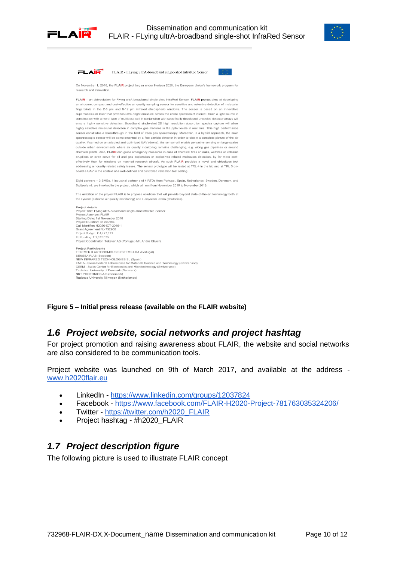



| 2L A II<br>FLAIR - FLying ultrA-broadband single-shot InfraRed Sensor                                                                                                                                                                                                                                                                                                                                                                                                                                                                                                                                                                                                                                                                                                                                                                                                                                                                                                                                                                                                                                                                                                                                                                                                                                                                                                                                                                                                                                                                                                                                                                                                                                                                                                                                                                                                                                                             |  |
|-----------------------------------------------------------------------------------------------------------------------------------------------------------------------------------------------------------------------------------------------------------------------------------------------------------------------------------------------------------------------------------------------------------------------------------------------------------------------------------------------------------------------------------------------------------------------------------------------------------------------------------------------------------------------------------------------------------------------------------------------------------------------------------------------------------------------------------------------------------------------------------------------------------------------------------------------------------------------------------------------------------------------------------------------------------------------------------------------------------------------------------------------------------------------------------------------------------------------------------------------------------------------------------------------------------------------------------------------------------------------------------------------------------------------------------------------------------------------------------------------------------------------------------------------------------------------------------------------------------------------------------------------------------------------------------------------------------------------------------------------------------------------------------------------------------------------------------------------------------------------------------------------------------------------------------|--|
| On November 1, 2016, the FLAIR project began under Horizon 2020, the European Union's framework program for<br>research and innovation.                                                                                                                                                                                                                                                                                                                                                                                                                                                                                                                                                                                                                                                                                                                                                                                                                                                                                                                                                                                                                                                                                                                                                                                                                                                                                                                                                                                                                                                                                                                                                                                                                                                                                                                                                                                           |  |
| FLAIR - an abbreviation for Flying ultrA-broadband single-shot InfraRed Sensor. FLAIR project aims at developing<br>an airborne, compact and cost-effective air quality sampling sensor for sensitive and selective detection of molecular<br>fingerprints in the 2-5 um and 8-12 um infrared atmospheric windows. The sensor is based on an innovative<br>supercontinuum laser that provides ultra-bright emission across the entire spectrum of interest. Such a light source in<br>combination with a novel type of multipass cell in conjunction with specifically developed uncooled detector arrays will<br>ensure highly sensitive detection. Broadband single-shot 2D high resolution absorption spectra capture will allow<br>highly selective molecular detection in complex gas mixtures in the ppby levels in real time. This high performance<br>sensor constitutes a breakthrough in the field of trace gas spectroscopy. Moreover, in a hybrid approach, the main<br>spectroscopic sensor will be complemented by a fine particle detector in order to obtain a complete picture of the air<br>quality. Mounted on an adapted and optimized UAV (drone), the sensor will enable pervasive sensing on large scales<br>outside urban environments where air quality monitoring remains challenging, e.g. along gas pipelines or around<br>chemical plants. Also, FLAIR can guide emergency measures in case of chemical fires or leaks, wildfires or volcanic<br>eruptions or even serve for oil and gas exploration or explosives related molecules detection, by far more cost-<br>effectively than for missions on manned research aircraft. As such FLAIR provides a novel and ubiquitous tool<br>addressing air quality related safety issues. The sensor prototype will be tested at TRL 4 in the lab and at TRL 5 on-<br>board a UAV in the context of a well-defined and controlled validation test setting. |  |
| Eight partners - 3 SMEs, 1 industrial partner and 4 RTDs from Portugal, Spain, Netherlands, Sweden, Denmark, and<br>Switzerland, are involved in the project, which will run from November 2016 to November 2019.                                                                                                                                                                                                                                                                                                                                                                                                                                                                                                                                                                                                                                                                                                                                                                                                                                                                                                                                                                                                                                                                                                                                                                                                                                                                                                                                                                                                                                                                                                                                                                                                                                                                                                                 |  |
| The ambition of the project FLAIR is to propose solutions that will provide beyond state-of-the-art technology both at<br>the system (airborne air quality monitoring) and subsystem levels (photonics).                                                                                                                                                                                                                                                                                                                                                                                                                                                                                                                                                                                                                                                                                                                                                                                                                                                                                                                                                                                                                                                                                                                                                                                                                                                                                                                                                                                                                                                                                                                                                                                                                                                                                                                          |  |
| Project details<br>Project Title: Flying ultrA-broadband single-shot InfraRed Sensor<br>Project Acronym: FLAIR<br>Starting Date: 1st November 2016<br>Project Duration: 36 months<br>Call Identifier: H2020-ICT-2016-1<br>Grant Agreement No 732968<br>Project Budget: € 4,277,813<br>EU Funding: € 3,072,020<br>Project Coordinator: Tekever AS (Portugal) Mr. Andre Oliveira                                                                                                                                                                                                                                                                                                                                                                                                                                                                                                                                                                                                                                                                                                                                                                                                                                                                                                                                                                                                                                                                                                                                                                                                                                                                                                                                                                                                                                                                                                                                                    |  |
| <b>Project Participants</b><br>TEKEVER II AUTONOMOUS SYSTEMS LDA (Portugal)<br>SENSEAIR AB (Sweden)<br>NEW INFRARED TECHNOLOGIES SL (Spain)<br>EMPA - Swiss Federal Laboratories for Materials Science and Technology (Switzerland)<br>CSEM - Swiss Center for Electronics and Microtechnology (Switzerland)<br>Technical University of Denmark (Denmark)<br>NKT PHOTONICS A/S (Denmark)<br>Radboud University Nijmegen (Netherlands)                                                                                                                                                                                                                                                                                                                                                                                                                                                                                                                                                                                                                                                                                                                                                                                                                                                                                                                                                                                                                                                                                                                                                                                                                                                                                                                                                                                                                                                                                             |  |

<span id="page-9-2"></span>**Figure 5 Initial press release (available on the FLAIR website)**

#### <span id="page-9-0"></span>*1.6 Project website, social networks and project hashtag*

For project promotion and raising awareness about FLAIR, the website and social networks are also considered to be communication tools.

Project website was launched on 9th of March 2017, and available at the address [www.h2020flair.eu](http://www.h2020flair.eu/)

- LinkedIn <https://www.linkedin.com/groups/12037824>
- Facebook <https://www.facebook.com/FLAIR-H2020-Project-781763035324206/>
- Twitter [https://twitter.com/h2020\\_FLAIR](https://twitter.com/h2020_FLAIR)
- Project hashtag #h2020 FLAIR

#### <span id="page-9-1"></span>*1.7 Project description figure*

The following picture is used to illustrate FLAIR concept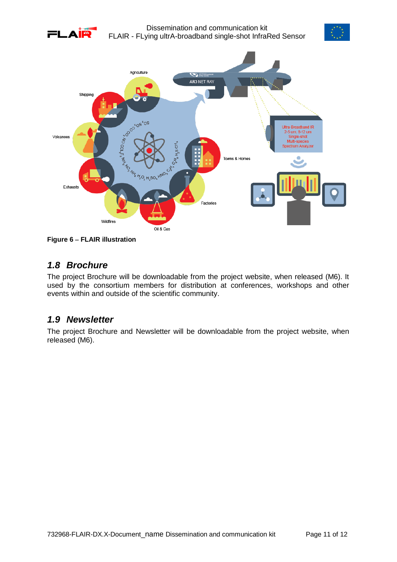





<span id="page-10-2"></span>**Figure 6 FLAIR illustration**

#### <span id="page-10-0"></span>*1.8 Brochure*

The project Brochure will be downloadable from the project website, when released (M6). It used by the consortium members for distribution at conferences, workshops and other events within and outside of the scientific community.

#### <span id="page-10-1"></span>*1.9 Newsletter*

The project Brochure and Newsletter will be downloadable from the project website, when released (M6).